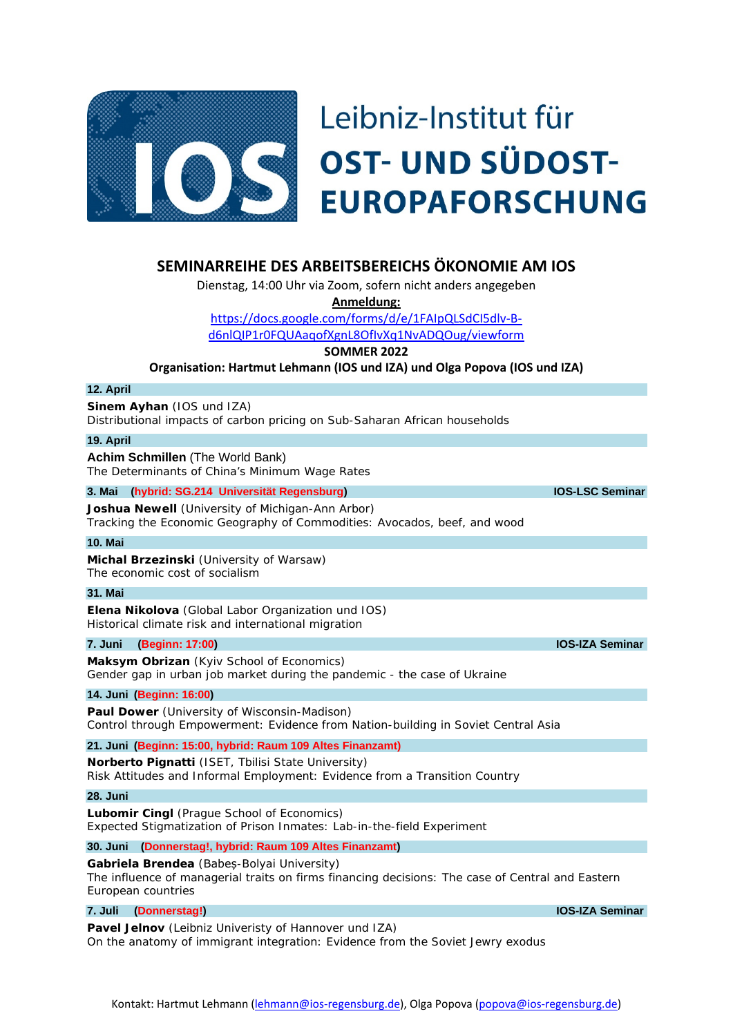

# **SEMINARREIHE DES ARBEITSBEREICHS ÖKONOMIE AM IOS**

Dienstag, 14:00 Uhr via Zoom, sofern nicht anders angegeben

**Anmeldung:** 

[https://docs.google.com/forms/d/e/1FAIpQLSdCI5dlv-B-](https://docs.google.com/forms/d/e/1FAIpQLSdCI5dlv-B-d6nlQIP1r0FQUAaqofXgnL8OfIvXq1NvADQOug/viewform)

[d6nlQIP1r0FQUAaqofXgnL8OfIvXq1NvADQOug/viewform](https://docs.google.com/forms/d/e/1FAIpQLSdCI5dlv-B-d6nlQIP1r0FQUAaqofXgnL8OfIvXq1NvADQOug/viewform)

**SOMMER 2022**

**Organisation: Hartmut Lehmann (IOS und IZA) und Olga Popova (IOS und IZA)**

### **12. April**

**Sinem Ayhan** (IOS und IZA) Distributional impacts of carbon pricing on Sub-Saharan African households

#### **19. April**

**Achim Schmillen** (The World Bank) The Determinants of China's Minimum Wage Rates

### **3. Mai (hybrid: SG.214 Universität Regensburg) IOS-LSC Seminar**

**Joshua Newell** (University of Michigan-Ann Arbor) Tracking the Economic Geography of Commodities: Avocados, beef, and wood

### **10. Mai**

**Michal Brzezinski** (University of Warsaw) The economic cost of socialism

### **31. Mai**

**Elena Nikolova** (Global Labor Organization und IOS) Historical climate risk and international migration

## **7. Juni (Beginn: 17:00) IOS-IZA Seminar**

**Maksym Obrizan** (Kyiv School of Economics) Gender gap in urban job market during the pandemic - the case of Ukraine

### **14. Juni (Beginn: 16:00)**

**Paul Dower** (University of Wisconsin-Madison) Control through Empowerment: Evidence from Nation-building in Soviet Central Asia

**21. Juni (Beginn: 15:00, hybrid: Raum 109 Altes Finanzamt)**

**Norberto Pignatti** (ISET, Tbilisi State University) Risk Attitudes and Informal Employment: Evidence from a Transition Country

#### **28. Juni**

**Lubomir Cingl** (Prague School of Economics) Expected Stigmatization of Prison Inmates: Lab-in-the-field Experiment

**30. Juni (Donnerstag!, hybrid: Raum 109 Altes Finanzamt)** 

### **Gabriela Brendea** (Babeș-Bolyai University)

The influence of managerial traits on firms financing decisions: The case of Central and Eastern European countries

# **7. Juli (Donnerstag!) IOS-IZA Seminar**

**Pavel Jelnov** (Leibniz Univeristy of Hannover und IZA) On the anatomy of immigrant integration: Evidence from the Soviet Jewry exodus

Kontakt: Hartmut Lehmann [\(lehmann@ios-regensburg.de\)](mailto:lehmann@ios-regensburg.de), Olga Popova [\(popova@ios-regensburg.de\)](mailto:popova@ios-regensburg.de)